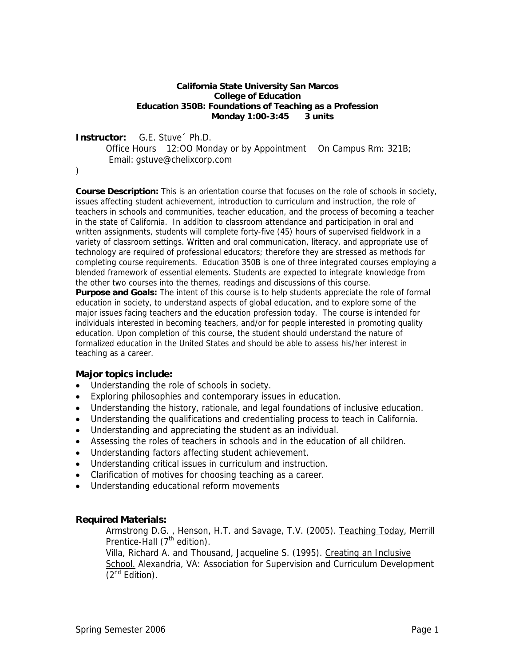#### **California State University San Marcos College of Education Education 350B: Foundations of Teaching as a Profession Monday 1:00-3:45 3 units**

#### **Instructor:** G.E. Stuve´ Ph.D.

Office Hours 12:00 Monday or by Appointment On Campus Rm: 321B; Email: gstuve@chelixcorp.com

)

**Course Description:** This is an orientation course that focuses on the role of schools in society, issues affecting student achievement, introduction to curriculum and instruction, the role of teachers in schools and communities, teacher education, and the process of becoming a teacher in the state of California. In addition to classroom attendance and participation in oral and written assignments, students will complete forty-five (45) hours of supervised fieldwork in a variety of classroom settings. Written and oral communication, literacy, and appropriate use of technology are required of professional educators; therefore they are stressed as methods for completing course requirements. Education 350B is one of three integrated courses employing a blended framework of essential elements. Students are expected to integrate knowledge from the other two courses into the themes, readings and discussions of this course.

**Purpose and Goals:** The intent of this course is to help students appreciate the role of formal education in society, to understand aspects of global education, and to explore some of the major issues facing teachers and the education profession today. The course is intended for individuals interested in becoming teachers, and/or for people interested in promoting quality education. Upon completion of this course, the student should understand the nature of formalized education in the United States and should be able to assess his/her interest in teaching as a career.

#### **Major topics include:**

- Understanding the role of schools in society.
- Exploring philosophies and contemporary issues in education.
- Understanding the history, rationale, and legal foundations of inclusive education.
- Understanding the qualifications and credentialing process to teach in California.
- Understanding and appreciating the student as an individual.
- Assessing the roles of teachers in schools and in the education of all children.
- Understanding factors affecting student achievement.
- Understanding critical issues in curriculum and instruction.
- Clarification of motives for choosing teaching as a career.
- Understanding educational reform movements

#### **Required Materials:**

Armstrong D.G. , Henson, H.T. and Savage, T.V. (2005). Teaching Today, Merrill Prentice-Hall  $(7<sup>th</sup>$  edition).

Villa, Richard A. and Thousand, Jacqueline S. (1995). Creating an Inclusive School. Alexandria, VA: Association for Supervision and Curriculum Development  $(2^{nd}$  Edition).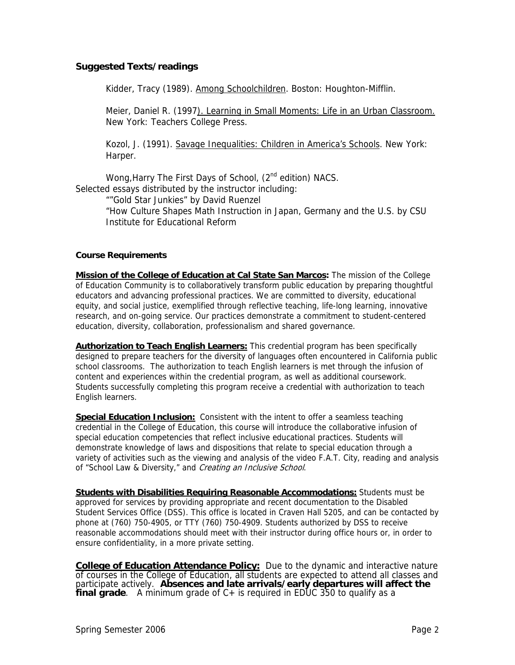#### **Suggested Texts/readings**

Kidder, Tracy (1989). Among Schoolchildren. Boston: Houghton-Mifflin.

Meier, Daniel R. (1997). Learning in Small Moments: Life in an Urban Classroom. New York: Teachers College Press.

Kozol, J. (1991). Savage Inequalities: Children in America's Schools. New York: Harper.

Wong, Harry The First Days of School, (2<sup>nd</sup> edition) NACS. Selected essays distributed by the instructor including:

""Gold Star Junkies" by David Ruenzel

"How Culture Shapes Math Instruction in Japan, Germany and the U.S. by CSU Institute for Educational Reform

#### **Course Requirements**

**Mission of the College of Education at Cal State San Marcos:** The mission of the College of Education Community is to collaboratively transform public education by preparing thoughtful educators and advancing professional practices. We are committed to diversity, educational equity, and social justice, exemplified through reflective teaching, life-long learning, innovative research, and on-going service. Our practices demonstrate a commitment to student-centered education, diversity, collaboration, professionalism and shared governance.

**Authorization to Teach English Learners:** This credential program has been specifically designed to prepare teachers for the diversity of languages often encountered in California public school classrooms. The authorization to teach English learners is met through the infusion of content and experiences within the credential program, as well as additional coursework. Students successfully completing this program receive a credential with authorization to teach English learners.

**Special Education Inclusion:** Consistent with the intent to offer a seamless teaching credential in the College of Education, this course will introduce the collaborative infusion of special education competencies that reflect inclusive educational practices. Students will demonstrate knowledge of laws and dispositions that relate to special education through a variety of activities such as the viewing and analysis of the video F.A.T. City, reading and analysis of "School Law & Diversity," and Creating an Inclusive School.

**Students with Disabilities Requiring Reasonable Accommodations:** Students must be approved for services by providing appropriate and recent documentation to the Disabled Student Services Office (DSS). This office is located in Craven Hall 5205, and can be contacted by phone at (760) 750-4905, or TTY (760) 750-4909. Students authorized by DSS to receive reasonable accommodations should meet with their instructor during office hours or, in order to ensure confidentiality, in a more private setting.

**College of Education Attendance Policy:** Due to the dynamic and interactive nature of courses in the College of Education, all students are expected to attend all classes and participate actively. **Absences and late arrivals/early departures will affect the final grade**. A minimum grade of C+ is required in EDUC 350 to qualify as a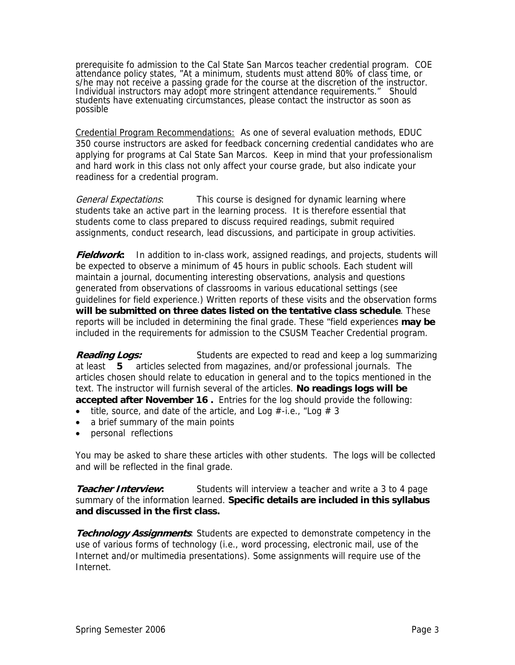prerequisite fo admission to the Cal State San Marcos teacher credential program. COE attendance policy states, "At a minimum, students must attend 80% of class time, or s/he may not receive a passing grade for the course at the discretion of the instructor. Individual instructors may adopt more stringent attendance requirements." Should students have extenuating circumstances, please contact the instructor as soon as possible

Credential Program Recommendations: As one of several evaluation methods, EDUC 350 course instructors are asked for feedback concerning credential candidates who are applying for programs at Cal State San Marcos. Keep in mind that your professionalism and hard work in this class not only affect your course grade, but also indicate your readiness for a credential program.

General Expectations: This course is designed for dynamic learning where students take an active part in the learning process. It is therefore essential that students come to class prepared to discuss required readings, submit required assignments, conduct research, lead discussions, and participate in group activities.

**Fieldwork:** In addition to in-class work, assigned readings, and projects, students will be expected to observe a minimum of 45 hours in public schools. Each student will maintain a journal, documenting interesting observations, analysis and questions generated from observations of classrooms in various educational settings (see guidelines for field experience.) Written reports of these visits and the observation forms **will be submitted on three dates listed on the tentative class schedule**. These reports will be included in determining the final grade. These "field experiences **may be** included in the requirements for admission to the CSUSM Teacher Credential program.

**Reading Logs:** Students are expected to read and keep a log summarizing at least **5** articles selected from magazines, and/or professional journals. The articles chosen should relate to education in general and to the topics mentioned in the text. The instructor will furnish several of the articles. **No readings logs will be accepted after November 16 .** Entries for the log should provide the following:

- title, source, and date of the article, and Log  $#$ -i.e., "Log  $# 3$
- a brief summary of the main points
- personal reflections

You may be asked to share these articles with other students. The logs will be collected and will be reflected in the final grade.

**Teacher Interview:** Students will interview a teacher and write a 3 to 4 page summary of the information learned. **Specific details are included in this syllabus and discussed in the first class.** 

**Technology Assignments**: Students are expected to demonstrate competency in the use of various forms of technology (i.e., word processing, electronic mail, use of the Internet and/or multimedia presentations). Some assignments will require use of the Internet.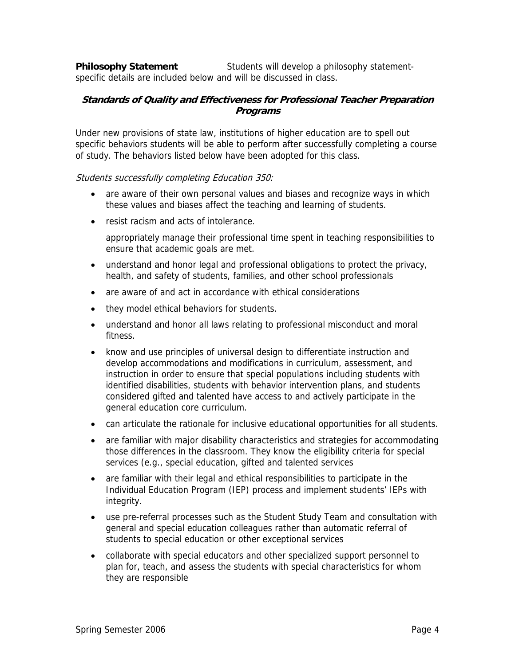**Philosophy Statement** Students will develop a philosophy statementspecific details are included below and will be discussed in class.

#### **Standards of Quality and Effectiveness for Professional Teacher Preparation Programs**

Under new provisions of state law, institutions of higher education are to spell out specific behaviors students will be able to perform after successfully completing a course of study. The behaviors listed below have been adopted for this class.

#### Students successfully completing Education 350:

- are aware of their own personal values and biases and recognize ways in which these values and biases affect the teaching and learning of students.
- resist racism and acts of intolerance.

appropriately manage their professional time spent in teaching responsibilities to ensure that academic goals are met.

- understand and honor legal and professional obligations to protect the privacy, health, and safety of students, families, and other school professionals
- are aware of and act in accordance with ethical considerations
- they model ethical behaviors for students.
- understand and honor all laws relating to professional misconduct and moral fitness.
- know and use principles of universal design to differentiate instruction and develop accommodations and modifications in curriculum, assessment, and instruction in order to ensure that special populations including students with identified disabilities, students with behavior intervention plans, and students considered gifted and talented have access to and actively participate in the general education core curriculum.
- can articulate the rationale for inclusive educational opportunities for all students.
- are familiar with major disability characteristics and strategies for accommodating those differences in the classroom. They know the eligibility criteria for special services (e.g., special education, gifted and talented services
- are familiar with their legal and ethical responsibilities to participate in the Individual Education Program (IEP) process and implement students' IEPs with integrity.
- use pre-referral processes such as the Student Study Team and consultation with general and special education colleagues rather than automatic referral of students to special education or other exceptional services
- collaborate with special educators and other specialized support personnel to plan for, teach, and assess the students with special characteristics for whom they are responsible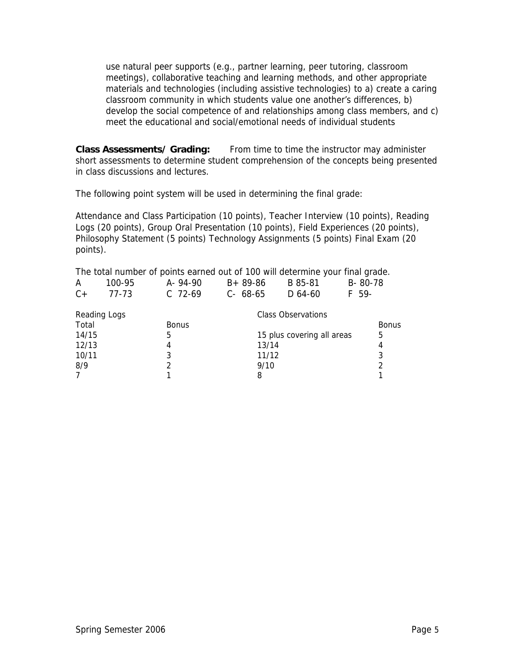use natural peer supports (e.g., partner learning, peer tutoring, classroom meetings), collaborative teaching and learning methods, and other appropriate materials and technologies (including assistive technologies) to a) create a caring classroom community in which students value one another's differences, b) develop the social competence of and relationships among class members, and c) meet the educational and social/emotional needs of individual students

**Class Assessments/ Grading:** From time to time the instructor may administer short assessments to determine student comprehension of the concepts being presented in class discussions and lectures.

The following point system will be used in determining the final grade:

Attendance and Class Participation (10 points), Teacher Interview (10 points), Reading Logs (20 points), Group Oral Presentation (10 points), Field Experiences (20 points), Philosophy Statement (5 points) Technology Assignments (5 points) Final Exam (20 points).

The total number of points earned out of 100 will determine your final grade.

| A                   | 100-95 | A-94-90      | $B + 89 - 86$ | B 85-81                    | B-80-78      |
|---------------------|--------|--------------|---------------|----------------------------|--------------|
| $C +$               | 77-73  | $C$ 72-69    | $C - 68 - 65$ | $D$ 64-60                  | F 59-        |
| <b>Reading Logs</b> |        |              |               | Class Observations         |              |
| Total               |        | <b>Bonus</b> |               |                            | <b>Bonus</b> |
| 14/15               |        | 5            |               | 15 plus covering all areas | 5            |
| 12/13               |        | 4            | 13/14         |                            | 4            |
| 10/11               |        | 3            | 11/12         |                            | 3            |
| 8/9                 |        |              | 9/10          |                            | 2            |
| $\overline{7}$      |        |              | 8             |                            |              |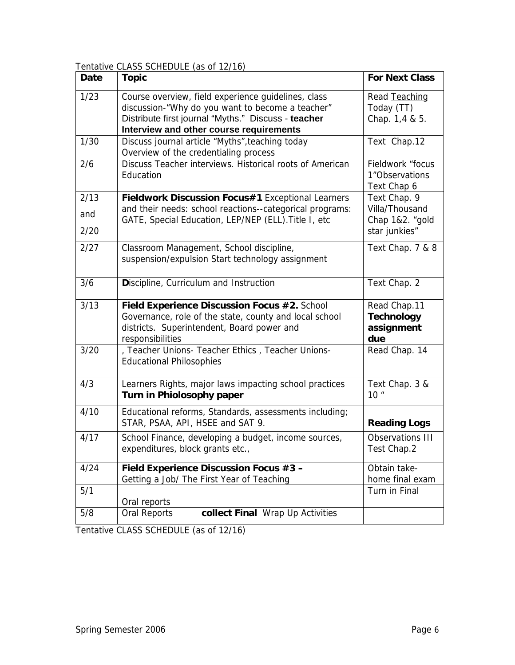Tentative CLASS SCHEDULE (as of 12/16)

| Date | <b>Topic</b>                                             | <b>For Next Class</b> |
|------|----------------------------------------------------------|-----------------------|
| 1/23 | Course overview, field experience guidelines, class      | Read Teaching         |
|      | discussion-"Why do you want to become a teacher"         | Today (TT)            |
|      | Distribute first journal "Myths." Discuss - teacher      | Chap. 1,4 & 5.        |
|      | Interview and other course requirements                  |                       |
| 1/30 | Discuss journal article "Myths", teaching today          | Text Chap.12          |
|      | Overview of the credentialing process                    |                       |
| 2/6  | Discuss Teacher interviews. Historical roots of American | Fieldwork "focus      |
|      | Education                                                | 1"Observations        |
|      |                                                          | Text Chap 6           |
| 2/13 | Fieldwork Discussion Focus#1 Exceptional Learners        | Text Chap. 9          |
| and  | and their needs: school reactions--categorical programs: | Villa/Thousand        |
|      | GATE, Special Education, LEP/NEP (ELL). Title I, etc     | Chap 1&2. "gold       |
| 2/20 |                                                          | star junkies"         |
| 2/27 | Classroom Management, School discipline,                 | Text Chap. 7 & 8      |
|      | suspension/expulsion Start technology assignment         |                       |
|      |                                                          |                       |
| 3/6  | Discipline, Curriculum and Instruction                   | Text Chap. 2          |
|      |                                                          |                       |
| 3/13 | Field Experience Discussion Focus #2. School             | Read Chap.11          |
|      | Governance, role of the state, county and local school   | <b>Technology</b>     |
|      | districts. Superintendent, Board power and               | assignment            |
|      | responsibilities                                         | due                   |
| 3/20 | , Teacher Unions- Teacher Ethics, Teacher Unions-        | Read Chap. 14         |
|      | <b>Educational Philosophies</b>                          |                       |
|      |                                                          |                       |
| 4/3  | Learners Rights, major laws impacting school practices   | Text Chap. 3 &        |
|      | Turn in Phiolosophy paper                                | 10 <sup>''</sup>      |
| 4/10 | Educational reforms, Standards, assessments including;   |                       |
|      | STAR, PSAA, API, HSEE and SAT 9.                         | <b>Reading Logs</b>   |
| 4/17 | School Finance, developing a budget, income sources,     | Observations III      |
|      | expenditures, block grants etc.,                         | Test Chap.2           |
|      |                                                          |                       |
| 4/24 | Field Experience Discussion Focus #3 -                   | Obtain take-          |
|      | Getting a Job/ The First Year of Teaching                | home final exam       |
| 5/1  |                                                          | Turn in Final         |
|      | Oral reports                                             |                       |
| 5/8  | collect Final Wrap Up Activities<br>Oral Reports         |                       |

Tentative CLASS SCHEDULE (as of 12/16)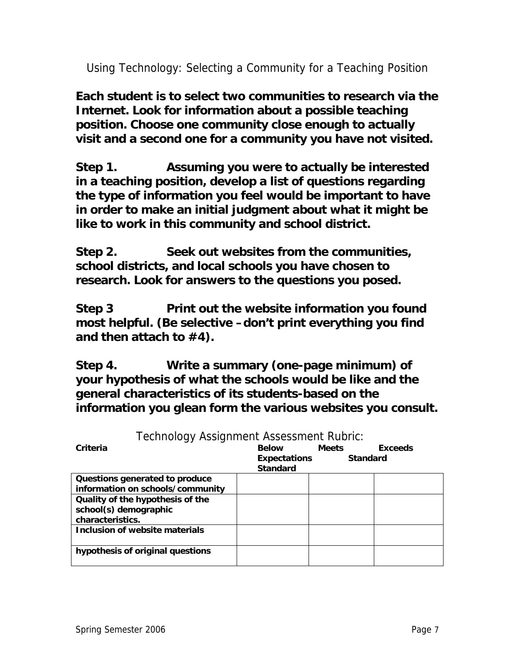Using Technology: Selecting a Community for a Teaching Position

**Each student is to select two communities to research via the Internet. Look for information about a possible teaching position. Choose one community close enough to actually visit and a second one for a community you have not visited.** 

**Step 1. Assuming you were to actually be interested in a teaching position, develop a list of questions regarding the type of information you feel would be important to have in order to make an initial judgment about what it might be like to work in this community and school district.** 

**Step 2. Seek out websites from the communities, school districts, and local schools you have chosen to research. Look for answers to the questions you posed.** 

**Step 3 Print out the website information you found most helpful. (Be selective –don't print everything you find and then attach to #4).** 

**Step 4. Write a summary (one-page minimum) of your hypothesis of what the schools would be like and the general characteristics of its students-based on the information you glean form the various websites you consult.**

| Technology Assignment Assessment Rubric: |                     |                 |                |
|------------------------------------------|---------------------|-----------------|----------------|
| Criteria                                 | <b>Below</b>        | <b>Meets</b>    | <b>Exceeds</b> |
|                                          | <b>Expectations</b> | <b>Standard</b> |                |
|                                          | <b>Standard</b>     |                 |                |
| Questions generated to produce           |                     |                 |                |
| information on schools/community         |                     |                 |                |
| Quality of the hypothesis of the         |                     |                 |                |
| school(s) demographic                    |                     |                 |                |
| characteristics.                         |                     |                 |                |
| Inclusion of website materials           |                     |                 |                |
|                                          |                     |                 |                |
| hypothesis of original questions         |                     |                 |                |
|                                          |                     |                 |                |

Technology Assignment Assessment Rubric: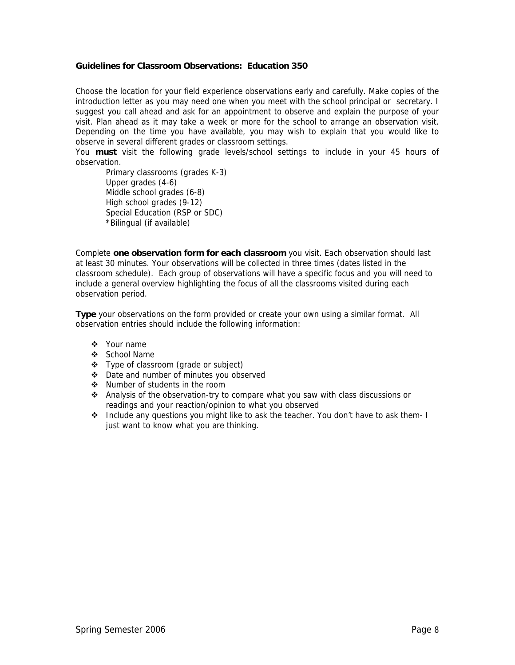#### **Guidelines for Classroom Observations: Education 350**

Choose the location for your field experience observations early and carefully. Make copies of the introduction letter as you may need one when you meet with the school principal or secretary. I suggest you call ahead and ask for an appointment to observe and explain the purpose of your visit. Plan ahead as it may take a week or more for the school to arrange an observation visit. Depending on the time you have available, you may wish to explain that you would like to observe in several different grades or classroom settings.

You **must** visit the following grade levels/school settings to include in your 45 hours of observation.

Primary classrooms (grades K-3) Upper grades (4-6) Middle school grades (6-8) High school grades (9-12) Special Education (RSP or SDC) \*Bilingual (if available)

Complete **one observation form for each classroom** you visit. Each observation should last at least 30 minutes. Your observations will be collected in three times (dates listed in the classroom schedule). Each group of observations will have a specific focus and you will need to include a general overview highlighting the focus of all the classrooms visited during each observation period.

**Type** your observations on the form provided or create your own using a similar format. All observation entries should include the following information:

- ❖ Your name
- ❖ School Name
- Type of classroom (grade or subject)
- Date and number of minutes you observed
- $\div$  Number of students in the room
- Analysis of the observation-try to compare what you saw with class discussions or readings and your reaction/opinion to what you observed
- \* Include any questions you might like to ask the teacher. You don't have to ask them- I just want to know what you are thinking.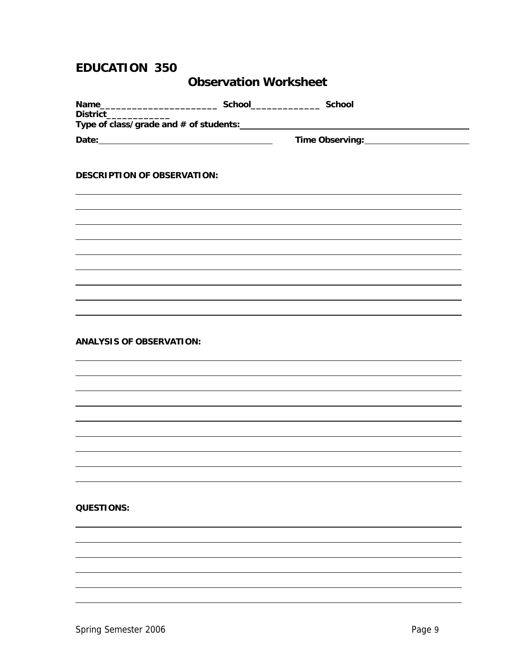### **EDUCATION 350**

### **Observation Worksheet**

| <b>Name</b><br><b>District</b>           | <b>School</b> | <b>School</b>   |  |
|------------------------------------------|---------------|-----------------|--|
| Type of class/grade and $#$ of students: |               |                 |  |
| Date:                                    |               | Time Observing: |  |

#### **DESCRIPTION OF OBSERVATION:**

 $\overline{a}$  $\overline{a}$  $\overline{a}$  $\overline{a}$  $\overline{a}$  $\overline{a}$  $\overline{a}$  $\overline{a}$  $\overline{a}$ 

 $\overline{a}$  $\overline{a}$  $\overline{a}$  $\overline{a}$  $\overline{a}$  $\overline{a}$  $\overline{a}$  $\overline{a}$  $\overline{a}$ 

**ANALYSIS OF OBSERVATION:**

#### **QUESTIONS:**

 $\overline{a}$  $\overline{a}$  $\overline{a}$  $\overline{a}$  $\overline{a}$  $\overline{a}$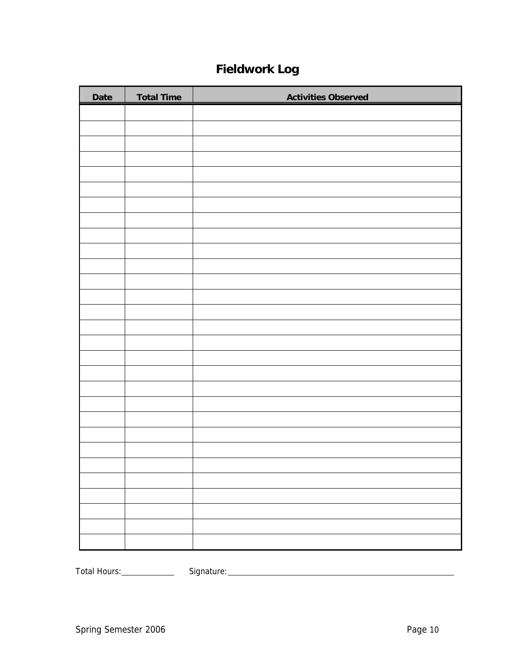## **Fieldwork Log**

| Date | <b>Total Time</b> | <b>Activities Observed</b> |
|------|-------------------|----------------------------|
|      |                   |                            |
|      |                   |                            |
|      |                   |                            |
|      |                   |                            |
|      |                   |                            |
|      |                   |                            |
|      |                   |                            |
|      |                   |                            |
|      |                   |                            |
|      |                   |                            |
|      |                   |                            |
|      |                   |                            |
|      |                   |                            |
|      |                   |                            |
|      |                   |                            |
|      |                   |                            |
|      |                   |                            |
|      |                   |                            |
|      |                   |                            |
|      |                   |                            |
|      |                   |                            |
|      |                   |                            |
|      |                   |                            |
|      |                   |                            |
|      |                   |                            |
|      |                   |                            |
|      |                   |                            |
|      |                   |                            |
|      |                   |                            |

Total Hours: Signature: Signature: Signature: Signature: Signature: Signature: Signature: Signature: Signature: Signature: Signature: Signature: Signature: Signature: Signature: Signature: Signature: Signature: Signature: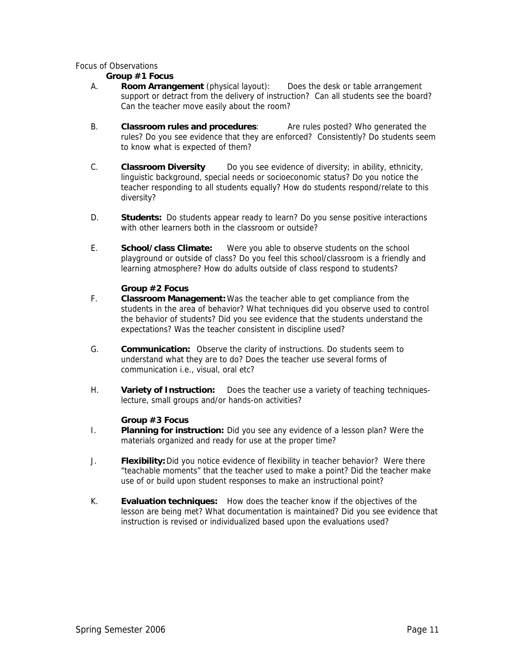#### Focus of Observations

#### **Group #1 Focus**

- A. **Room Arrangement** (physical layout): Does the desk or table arrangement support or detract from the delivery of instruction? Can all students see the board? Can the teacher move easily about the room?
- B. **Classroom rules and procedures**: Are rules posted? Who generated the rules? Do you see evidence that they are enforced? Consistently? Do students seem to know what is expected of them?
- C. **Classroom Diversity** Do you see evidence of diversity; in ability, ethnicity, linguistic background, special needs or socioeconomic status? Do you notice the teacher responding to all students equally? How do students respond/relate to this diversity?
- D. **Students:** Do students appear ready to learn? Do you sense positive interactions with other learners both in the classroom or outside?
- E. **School/class Climate:** Were you able to observe students on the school playground or outside of class? Do you feel this school/classroom is a friendly and learning atmosphere? How do adults outside of class respond to students?

#### **Group #2 Focus**

- F. **Classroom Management:** Was the teacher able to get compliance from the students in the area of behavior? What techniques did you observe used to control the behavior of students? Did you see evidence that the students understand the expectations? Was the teacher consistent in discipline used?
- G. **Communication:** Observe the clarity of instructions. Do students seem to understand what they are to do? Does the teacher use several forms of communication i.e., visual, oral etc?
- H. **Variety of Instruction:** Does the teacher use a variety of teaching techniqueslecture, small groups and/or hands-on activities?

#### **Group #3 Focus**

- I. **Planning for instruction:** Did you see any evidence of a lesson plan? Were the materials organized and ready for use at the proper time?
- J. **Flexibility:** Did you notice evidence of flexibility in teacher behavior? Were there "teachable moments" that the teacher used to make a point? Did the teacher make use of or build upon student responses to make an instructional point?
- K. **Evaluation techniques:** How does the teacher know if the objectives of the lesson are being met? What documentation is maintained? Did you see evidence that instruction is revised or individualized based upon the evaluations used?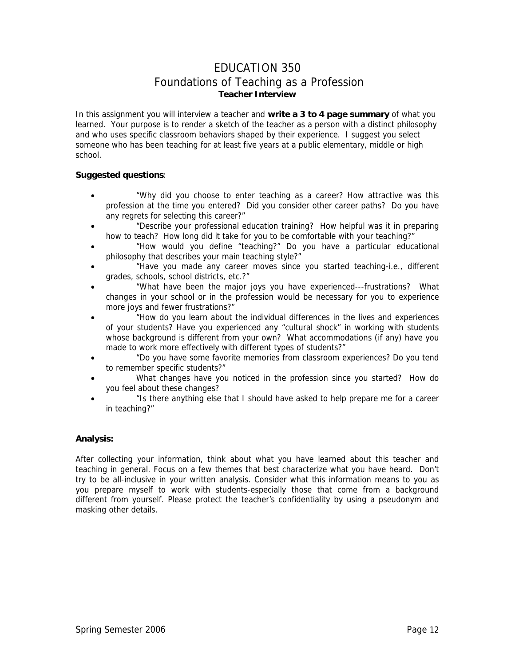### EDUCATION 350 Foundations of Teaching as a Profession **Teacher Interview**

In this assignment you will interview a teacher and **write a 3 to 4 page summary** of what you learned. Your purpose is to render a sketch of the teacher as a person with a distinct philosophy and who uses specific classroom behaviors shaped by their experience. I suggest you select someone who has been teaching for at least five years at a public elementary, middle or high school.

#### **Suggested questions**:

- "Why did you choose to enter teaching as a career? How attractive was this profession at the time you entered? Did you consider other career paths? Do you have any regrets for selecting this career?"
- "Describe your professional education training? How helpful was it in preparing how to teach? How long did it take for you to be comfortable with your teaching?"
- "How would you define "teaching?" Do you have a particular educational philosophy that describes your main teaching style?"
- "Have you made any career moves since you started teaching-i.e., different grades, schools, school districts, etc.?"
- "What have been the major joys you have experienced---frustrations? What changes in your school or in the profession would be necessary for you to experience more joys and fewer frustrations?"
- "How do you learn about the individual differences in the lives and experiences of your students? Have you experienced any "cultural shock" in working with students whose background is different from your own? What accommodations (if any) have you made to work more effectively with different types of students?"
- "Do you have some favorite memories from classroom experiences? Do you tend to remember specific students?"
- What changes have you noticed in the profession since you started? How do you feel about these changes?
- "Is there anything else that I should have asked to help prepare me for a career in teaching?"

#### **Analysis:**

After collecting your information, think about what you have learned about this teacher and teaching in general. Focus on a few themes that best characterize what you have heard. Don't try to be all-inclusive in your written analysis. Consider what this information means to you as you prepare myself to work with students-especially those that come from a background different from yourself. Please protect the teacher's confidentiality by using a pseudonym and masking other details.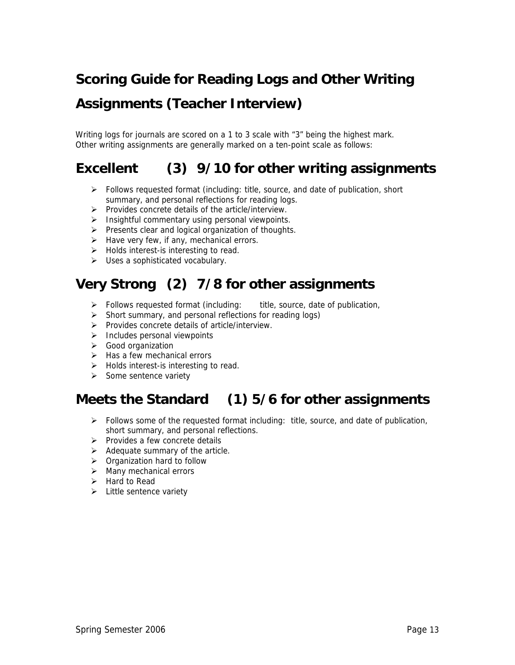# **Scoring Guide for Reading Logs and Other Writing Assignments (Teacher Interview)**

Writing logs for journals are scored on a 1 to 3 scale with "3" being the highest mark. Other writing assignments are generally marked on a ten-point scale as follows:

## **Excellent (3) 9/10 for other writing assignments**

- $\triangleright$  Follows requested format (including: title, source, and date of publication, short summary, and personal reflections for reading logs.
- ¾ Provides concrete details of the article/interview.
- $\triangleright$  Insightful commentary using personal viewpoints.
- $\triangleright$  Presents clear and logical organization of thoughts.
- $\blacktriangleright$  Have very few, if any, mechanical errors.
- $\triangleright$  Holds interest-is interesting to read.
- $\triangleright$  Uses a sophisticated vocabulary.

## **Very Strong (2) 7/8 for other assignments**

- $\triangleright$  Follows requested format (including: title, source, date of publication,
- $\triangleright$  Short summary, and personal reflections for reading logs)
- ¾ Provides concrete details of article/interview.
- $\triangleright$  Includes personal viewpoints
- ¾ Good organization
- $\triangleright$  Has a few mechanical errors
- $\triangleright$  Holds interest-is interesting to read.
- $\triangleright$  Some sentence variety

## **Meets the Standard (1) 5/6 for other assignments**

- ¾ Follows some of the requested format including: title, source, and date of publication, short summary, and personal reflections.
- $\triangleright$  Provides a few concrete details
- $\triangleright$  Adequate summary of the article.
- $\triangleright$  Organization hard to follow
- $\triangleright$  Many mechanical errors
- $\triangleright$  Hard to Read
- $\triangleright$  Little sentence variety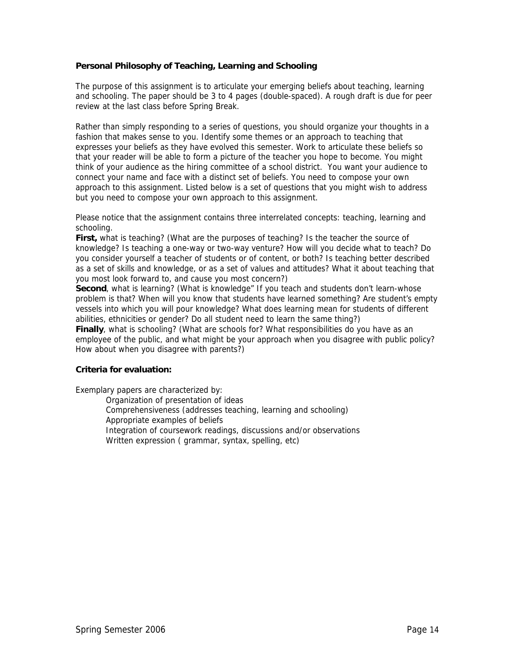#### **Personal Philosophy of Teaching, Learning and Schooling**

The purpose of this assignment is to articulate your emerging beliefs about teaching, learning and schooling. The paper should be 3 to 4 pages (double-spaced). A rough draft is due for peer review at the last class before Spring Break.

Rather than simply responding to a series of questions, you should organize your thoughts in a fashion that makes sense to you. Identify some themes or an approach to teaching that expresses your beliefs as they have evolved this semester. Work to articulate these beliefs so that your reader will be able to form a picture of the teacher you hope to become. You might think of your audience as the hiring committee of a school district. You want your audience to connect your name and face with a distinct set of beliefs. You need to compose your own approach to this assignment. Listed below is a set of questions that you might wish to address but you need to compose your own approach to this assignment.

Please notice that the assignment contains three interrelated concepts: teaching, learning and schooling.

**First,** what is teaching? (What are the purposes of teaching? Is the teacher the source of knowledge? Is teaching a one-way or two-way venture? How will you decide what to teach? Do you consider yourself a teacher of students or of content, or both? Is teaching better described as a set of skills and knowledge, or as a set of values and attitudes? What it about teaching that you most look forward to, and cause you most concern?)

**Second**, what is learning? (What is knowledge" If you teach and students don't learn-whose problem is that? When will you know that students have learned something? Are student's empty vessels into which you will pour knowledge? What does learning mean for students of different abilities, ethnicities or gender? Do all student need to learn the same thing?)

**Finally**, what is schooling? (What are schools for? What responsibilities do you have as an employee of the public, and what might be your approach when you disagree with public policy? How about when you disagree with parents?)

#### **Criteria for evaluation:**

Exemplary papers are characterized by:

Organization of presentation of ideas

Comprehensiveness (addresses teaching, learning and schooling)

Appropriate examples of beliefs

Integration of coursework readings, discussions and/or observations

Written expression ( grammar, syntax, spelling, etc)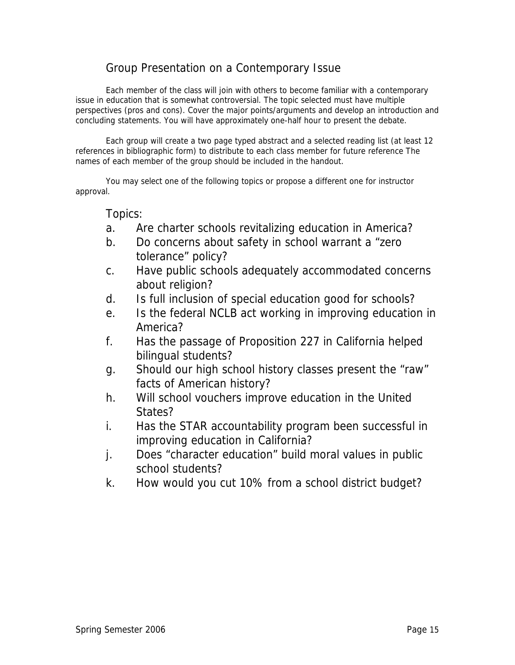### Group Presentation on a Contemporary Issue

Each member of the class will join with others to become familiar with a contemporary issue in education that is somewhat controversial. The topic selected must have multiple perspectives (pros and cons). Cover the major points/arguments and develop an introduction and concluding statements. You will have approximately one-half hour to present the debate.

Each group will create a two page typed abstract and a selected reading list (at least 12 references in bibliographic form) to distribute to each class member for future reference The names of each member of the group should be included in the handout.

You may select one of the following topics or propose a different one for instructor approval.

#### Topics:

- a. Are charter schools revitalizing education in America?
- b. Do concerns about safety in school warrant a "zero tolerance" policy?
- c. Have public schools adequately accommodated concerns about religion?
- d. Is full inclusion of special education good for schools?
- e. Is the federal NCLB act working in improving education in America?
- f. Has the passage of Proposition 227 in California helped bilingual students?
- g. Should our high school history classes present the "raw" facts of American history?
- h. Will school vouchers improve education in the United States?
- i. Has the STAR accountability program been successful in improving education in California?
- j. Does "character education" build moral values in public school students?
- k. How would you cut 10% from a school district budget?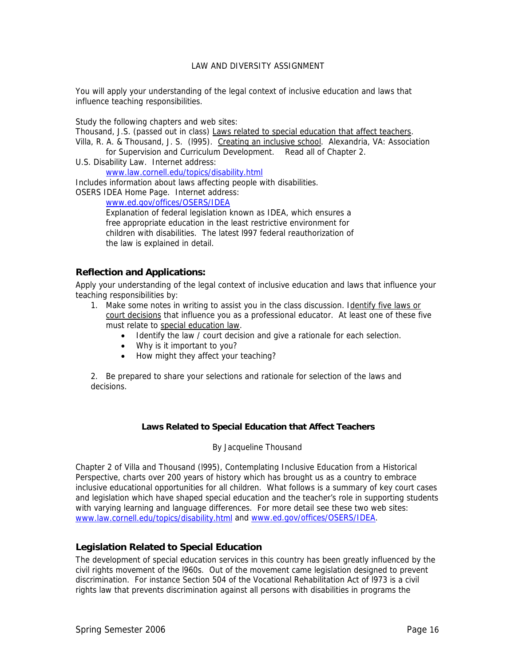#### LAW AND DIVERSITY ASSIGNMENT

You will apply your understanding of the legal context of inclusive education and laws that influence teaching responsibilities.

Study the following chapters and web sites:

Thousand, J.S. (passed out in class) Laws related to special education that affect teachers.

Villa, R. A. & Thousand, J. S. (l995). Creating an inclusive school. Alexandria, VA: Association for Supervision and Curriculum Development. Read all of Chapter 2.

U.S. Disability Law. Internet address:

www.law.cornell.edu/topics/disability.html

Includes information about laws affecting people with disabilities.

OSERS IDEA Home Page. Internet address:

www.ed.gov/offices/OSERS/IDEA

Explanation of federal legislation known as IDEA, which ensures a free appropriate education in the least restrictive environment for children with disabilities. The latest l997 federal reauthorization of the law is explained in detail.

#### **Reflection and Applications:**

Apply your understanding of the legal context of inclusive education and laws that influence your teaching responsibilities by:

- 1. Make some notes in writing to assist you in the class discussion. Identify five laws or court decisions that influence you as a professional educator. At least one of these five must relate to special education law.
	- Identify the law / court decision and give a rationale for each selection.
	- Why is it important to you?
	- How might they affect your teaching?

2. Be prepared to share your selections and rationale for selection of the laws and decisions.

#### **Laws Related to Special Education that Affect Teachers**

#### By Jacqueline Thousand

Chapter 2 of Villa and Thousand (l995), Contemplating Inclusive Education from a Historical Perspective, charts over 200 years of history which has brought us as a country to embrace inclusive educational opportunities for all children. What follows is a summary of key court cases and legislation which have shaped special education and the teacher's role in supporting students with varying learning and language differences. For more detail see these two web sites: www.law.cornell.edu/topics/disability.html and www.ed.gov/offices/OSERS/IDEA.

#### **Legislation Related to Special Education**

The development of special education services in this country has been greatly influenced by the civil rights movement of the l960s. Out of the movement came legislation designed to prevent discrimination. For instance Section 504 of the Vocational Rehabilitation Act of l973 is a civil rights law that prevents discrimination against all persons with disabilities in programs the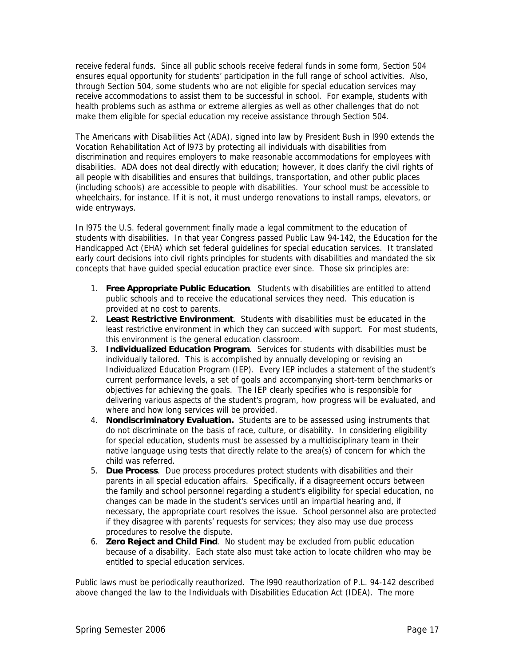receive federal funds. Since all public schools receive federal funds in some form, Section 504 ensures equal opportunity for students' participation in the full range of school activities. Also, through Section 504, some students who are not eligible for special education services may receive accommodations to assist them to be successful in school. For example, students with health problems such as asthma or extreme allergies as well as other challenges that do not make them eligible for special education my receive assistance through Section 504.

The Americans with Disabilities Act (ADA), signed into law by President Bush in l990 extends the Vocation Rehabilitation Act of l973 by protecting all individuals with disabilities from discrimination and requires employers to make reasonable accommodations for employees with disabilities. ADA does not deal directly with education; however, it does clarify the civil rights of all people with disabilities and ensures that buildings, transportation, and other public places (including schools) are accessible to people with disabilities. Your school must be accessible to wheelchairs, for instance. If it is not, it must undergo renovations to install ramps, elevators, or wide entryways.

In l975 the U.S. federal government finally made a legal commitment to the education of students with disabilities. In that year Congress passed Public Law 94-142, the Education for the Handicapped Act (EHA) which set federal guidelines for special education services. It translated early court decisions into civil rights principles for students with disabilities and mandated the six concepts that have guided special education practice ever since. Those six principles are:

- 1. **Free Appropriate Public Education**. Students with disabilities are entitled to attend public schools and to receive the educational services they need. This education is provided at no cost to parents.
- 2. **Least Restrictive Environment**. Students with disabilities must be educated in the least restrictive environment in which they can succeed with support. For most students, this environment is the general education classroom.
- 3. **Individualized Education Program**. Services for students with disabilities must be individually tailored. This is accomplished by annually developing or revising an Individualized Education Program (IEP). Every IEP includes a statement of the student's current performance levels, a set of goals and accompanying short-term benchmarks or objectives for achieving the goals. The IEP clearly specifies who is responsible for delivering various aspects of the student's program, how progress will be evaluated, and where and how long services will be provided.
- 4. **Nondiscriminatory Evaluation.** Students are to be assessed using instruments that do not discriminate on the basis of race, culture, or disability. In considering eligibility for special education, students must be assessed by a multidisciplinary team in their native language using tests that directly relate to the area(s) of concern for which the child was referred.
- 5. **Due Process**. Due process procedures protect students with disabilities and their parents in all special education affairs. Specifically, if a disagreement occurs between the family and school personnel regarding a student's eligibility for special education, no changes can be made in the student's services until an impartial hearing and, if necessary, the appropriate court resolves the issue. School personnel also are protected if they disagree with parents' requests for services; they also may use due process procedures to resolve the dispute.
- 6. **Zero Reject and Child Find**. No student may be excluded from public education because of a disability. Each state also must take action to locate children who may be entitled to special education services.

Public laws must be periodically reauthorized. The l990 reauthorization of P.L. 94-142 described above changed the law to the Individuals with Disabilities Education Act (IDEA). The more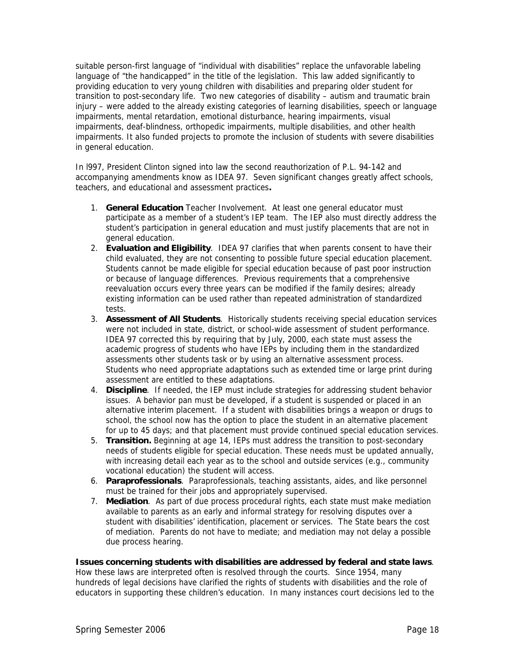suitable person-first language of "individual with disabilities" replace the unfavorable labeling language of "the handicapped" in the title of the legislation. This law added significantly to providing education to very young children with disabilities and preparing older student for transition to post-secondary life. Two new categories of disability – autism and traumatic brain injury – were added to the already existing categories of learning disabilities, speech or language impairments, mental retardation, emotional disturbance, hearing impairments, visual impairments, deaf-blindness, orthopedic impairments, multiple disabilities, and other health impairments. It also funded projects to promote the inclusion of students with severe disabilities in general education.

In l997, President Clinton signed into law the second reauthorization of P.L. 94-142 and accompanying amendments know as IDEA 97. Seven significant changes greatly affect schools, teachers, and educational and assessment practices**.** 

- 1. **General Education** Teacher Involvement. At least one general educator must participate as a member of a student's IEP team. The IEP also must directly address the student's participation in general education and must justify placements that are not in general education.
- 2. **Evaluation and Eligibility**. IDEA 97 clarifies that when parents consent to have their child evaluated, they are not consenting to possible future special education placement. Students cannot be made eligible for special education because of past poor instruction or because of language differences. Previous requirements that a comprehensive reevaluation occurs every three years can be modified if the family desires; already existing information can be used rather than repeated administration of standardized tests.
- 3. **Assessment of All Students**. Historically students receiving special education services were not included in state, district, or school-wide assessment of student performance. IDEA 97 corrected this by requiring that by July, 2000, each state must assess the academic progress of students who have IEPs by including them in the standardized assessments other students task or by using an alternative assessment process. Students who need appropriate adaptations such as extended time or large print during assessment are entitled to these adaptations.
- 4. **Discipline**. If needed, the IEP must include strategies for addressing student behavior issues. A behavior pan must be developed, if a student is suspended or placed in an alternative interim placement. If a student with disabilities brings a weapon or drugs to school, the school now has the option to place the student in an alternative placement for up to 45 days; and that placement must provide continued special education services.
- 5. **Transition.** Beginning at age 14, IEPs must address the transition to post-secondary needs of students eligible for special education. These needs must be updated annually, with increasing detail each year as to the school and outside services (e.g., community vocational education) the student will access.
- 6. **Paraprofessionals**. Paraprofessionals, teaching assistants, aides, and like personnel must be trained for their jobs and appropriately supervised.
- 7. **Mediation**. As part of due process procedural rights, each state must make mediation available to parents as an early and informal strategy for resolving disputes over a student with disabilities' identification, placement or services. The State bears the cost of mediation. Parents do not have to mediate; and mediation may not delay a possible due process hearing.

#### **Issues concerning students with disabilities are addressed by federal and state laws**.

How these laws are interpreted often is resolved through the courts. Since 1954, many hundreds of legal decisions have clarified the rights of students with disabilities and the role of educators in supporting these children's education. In many instances court decisions led to the